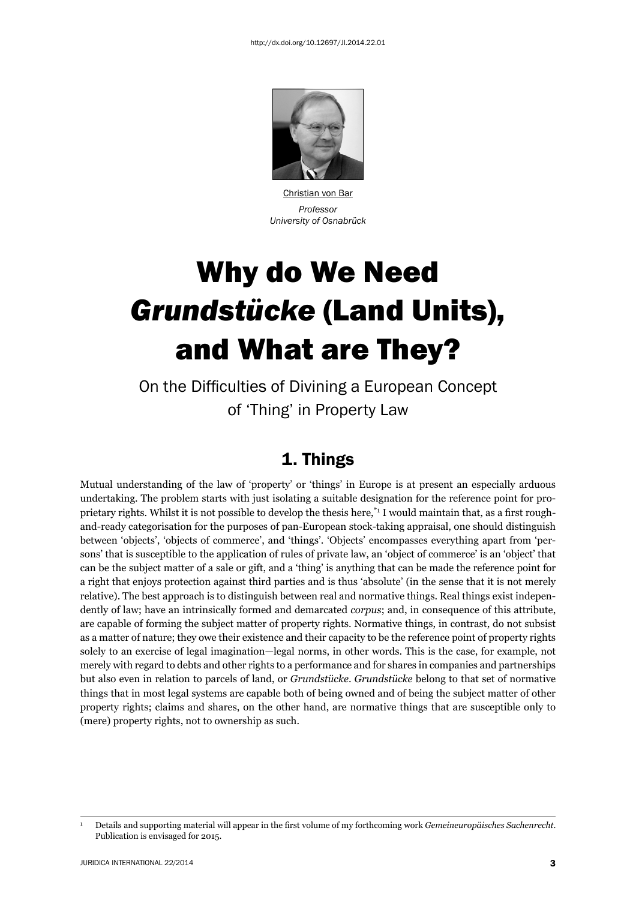

Christian von Bar *Professor University of Osnabrück*

# Why do We Need *Grundstücke* (Land Units), and What are They?

On the Difficulties of Divining a European Concept of 'Thing' in Property Law

### 1. Things

Mutual understanding of the law of 'property' or 'things' in Europe is at present an especially arduous undertaking. The problem starts with just isolating a suitable designation for the reference point for proprietary rights. Whilst it is not possible to develop the thesis here,  $*1$  would maintain that, as a first roughand-ready categorisation for the purposes of pan-European stock-taking appraisal, one should distinguish between 'objects', 'objects of commerce', and 'things'. 'Objects' encompasses every thing apart from 'persons' that is susceptible to the application of rules of private law, an 'object of commerce' is an 'object' that can be the subject matter of a sale or gift, and a 'thing' is anything that can be made the reference point for a right that enjoys protection against third parties and is thus 'absolute' (in the sense that it is not merely relative). The best approach is to distinguish between real and normative things. Real things exist independently of law; have an intrinsically formed and demarcated *corpus*; and, in consequence of this attribute, are capable of forming the subject matter of property rights. Normative things, in contrast, do not subsist as a matter of nature; they owe their existence and their capacity to be the reference point of property rights solely to an exercise of legal imagination—legal norms, in other words. This is the case, for example, not merely with regard to debts and other rights to a performance and for shares in companies and partnerships but also even in relation to parcels of land, or *Grundstücke*. *Grundstücke* belong to that set of normative things that in most legal systems are capable both of being owned and of being the subject matter of other property rights; claims and shares, on the other hand, are normative things that are susceptible only to (mere) property rights, not to ownership as such.

<sup>1</sup> Details and supporting material will appear in the first volume of my forthcoming work *Gemeineuropäisches Sachenrecht*. Publication is envisaged for 2015.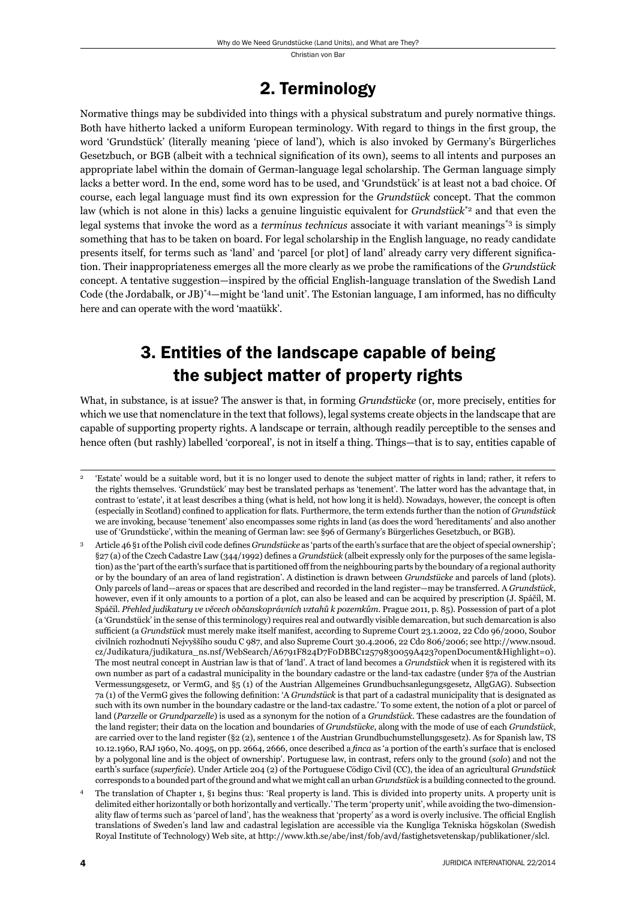### 2. Terminology

Normative things may be subdivided into things with a physical substratum and purely normative things. Both have hitherto lacked a uniform European terminology. With regard to things in the first group, the word 'Grundstück' (literally meaning 'piece of land'), which is also invoked by Germany's Bürgerliches Gesetzbuch, or BGB (albeit with a technical signification of its own), seems to all intents and purposes an appropriate label within the domain of German-language legal scholarship. The German language simply lacks a better word. In the end, some word has to be used, and 'Grundstück' is at least not a bad choice. Of course, each legal language must find its own expression for the *Grundstück* concept. That the common law (which is not alone in this) lacks a genuine linguistic equivalent for *Grundstück*\*2 and that even the legal systems that invoke the word as a *terminus technicus* associate it with variant meanings\*3 is simply something that has to be taken on board. For legal scholarship in the English language, no ready candidate presents itself, for terms such as 'land' and 'parcel [or plot] of land' already carry very different signification. Their inappropriateness emerges all the more clearly as we probe the ramifications of the *Grundstück* concept. A tentative suggestion—inspired by the official English-language translation of the Swedish Land Code (the Jordabalk, or JB)<sup>\*4</sup>—might be 'land unit'. The Estonian language, I am informed, has no difficulty here and can operate with the word 'maatükk'.

### 3. Entities of the landscape capable of being the subject matter of property rights

What, in substance, is at issue? The answer is that, in forming *Grundstücke* (or, more precisely, entities for which we use that nomenclature in the text that follows), legal systems create objects in the landscape that are capable of supporting property rights. A landscape or terrain, although readily perceptible to the senses and hence often (but rashly) labelled 'corporeal', is not in itself a thing. Things—that is to say, entities capable of

- 2 'Estate' would be a suitable word, but it is no longer used to denote the subject matter of rights in land; rather, it refers to the rights themselves. 'Grundstück' may best be translated perhaps as 'tenement'. The latter word has the advantage that, in contrast to 'estate', it at least describes a thing (what is held, not how long it is held). Nowadays, however, the concept is often (especially in Scotland) confined to application for flats. Furthermore, the term extends further than the notion of *Grundstück* we are invoking, because 'tenement' also encompasses some rights in land (as does the word 'hereditaments' and also another use of 'Grundstücke', within the meaning of German law: see §96 of Germany's Bürgerliches Gesetzbuch, or BGB).
- Article 46 §1 of the Polish civil code defines *Grundstücke* as 'parts of the earth's surface that are the object of special ownership'; §27(a) of the Czech Cadastre Law (344/1992) defines a *Grundstück* (albeit expressly only for the purposes of the same legislation) as the 'part of the earth's surface that is partitioned off from the neighbouring parts by the boundary of a regional authority or by the boundary of an area of land registration'. A distinction is drawn between *Grundstücke* and parcels of land (plots). Only parcels of land—areas or spaces that are described and recorded in the land register—may be transferred. A *Grundstück*, however, even if it only amounts to a portion of a plot, can also be leased and can be acquired by prescription (J. Spáčil, M. Spáčil. *Přehled judikatury ve věcech občanskoprávních vztahů k pozemkům*. Prague 2011, p. 85). Possession of part of a plot (a 'Grundstück' in the sense of this terminology) requires real and outwardly visible demarcation, but such demarcation is also sufficient (a *Grundstück* must merely make itself manifest, according to Supreme Court 23.1.2002, 22 Cdo 96/2000, Soubor civilních rozhodnutí Nejvyššího soudu C 987, and also Supreme Court 30.4.2006, 22 Cdo 806/2006; see http://www.nsoud. cz/Judikatura/judikatura\_ns.nsf/WebSearch/A6791F824D7F0DBBC12579830059A423?openDocument&Highlight=0). The most neutral concept in Austrian law is that of 'land'. A tract of land becomes a *Grundstück* when it is registered with its own number as part of a cadastral municipality in the boundary cadastre or the land-tax cadastre (under §7a of the Austrian Vermessungsgesetz, or VermG, and §5 (1) of the Austrian Allgemeines Grundbuchsanlegungsgesetz, AllgGAG). Subsection 7a (1) of the VermG gives the following definition: 'A *Grundstück* is that part of a cadastral municipality that is designated as such with its own number in the boundary cadastre or the land-tax cadastre.' To some extent, the notion of a plot or parcel of land (*Parzelle* or *Grundparzelle*) is used as a synonym for the notion of a *Grundstück*. These cadastres are the foundation of the land register; their data on the location and boundaries of *Grundstücke*, along with the mode of use of each *Grundstück*, are carried over to the land register (§2 (2), sentence 1 of the Austrian Grundbuchumstellungsgesetz). As for Spanish law, TS 10.12.1960, RAJ 1960, No. 4095, on pp. 2664, 2666, once described a *fi nca* as 'a portion of the earth's surface that is enclosed by a polygonal line and is the object of ownership'. Portuguese law, in contrast, refers only to the ground (*solo*) and not the earth's surface (*superficie*). Under Article 204 (2) of the Portuguese Cödigo Civil (CC), the idea of an agricultural *Grundstück* corresponds to a bounded part of the ground and what we might call an urban *Grundstück* is a building connected to the ground.
- 4 The translation of Chapter 1, §1 begins thus: 'Real property is land. This is divided into property units. A property unit is delimited either horizontally or both horizontally and vertically.' The term 'property unit', while avoiding the two-dimensionality flaw of terms such as 'parcel of land', has the weakness that 'property' as a word is overly inclusive. The official English translations of Sweden's land law and cadastral legislation are accessible via the Kungliga Tekniska högskolan (Swedish Royal Institute of Technology) Web site, at http://www.kth.se/abe/inst/fob/avd/fastighetsvetenskap/publikationer/slcl.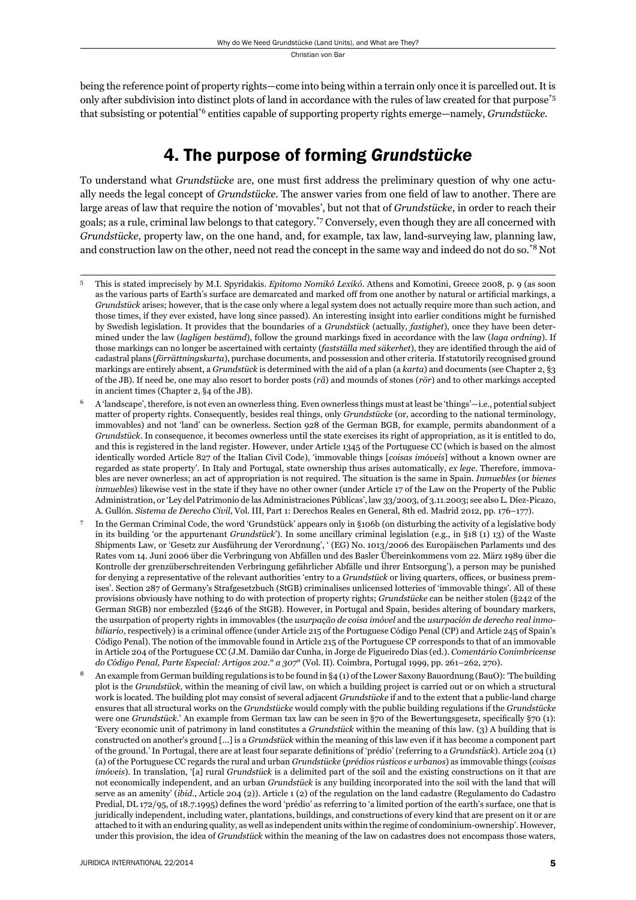being the reference point of property rights—come into being within a terrain only once it is parcelled out. It is only after subdivision into distinct plots of land in accordance with the rules of law created for that purpose<sup>\*5</sup> that subsisting or potential\*6 entities capable of supporting property rights emerge—namely, *Grundstücke*.

# 4. The purpose of forming *Grundstücke*

To understand what *Grundstücke* are, one must first address the preliminary question of why one actually needs the legal concept of *Grundstücke*. The answer varies from one field of law to another. There are large areas of law that require the notion of 'movables', but not that of *Grundstücke*, in order to reach their goals; as a rule, criminal law belongs to that category.\*7 Conversely, even though they are all concerned with *Grundstücke*, property law, on the one hand, and, for example, tax law, land-surveying law, planning law, and construction law on the other, need not read the concept in the same way and indeed do not do so.\*8 Not

<sup>5</sup> This is stated imprecisely by M.I. Spyridakis. *Epitomo Nomikó Lexikó*. Athens and Komotini, Greece 2008, p. 9 (as soon as the various parts of Earth's surface are demarcated and marked off from one another by natural or artificial markings, a *Grundstück* arises; however, that is the case only where a legal system does not actually require more than such action, and those times, if they ever existed, have long since passed). An interesting insight into earlier conditions might be furnished by Swedish legislation. It provides that the boundaries of a *Grundstück* (actually, *fastighet*), once they have been determined under the law (*lagligen bestämd*), follow the ground markings fixed in accordance with the law (*laga ordning*). If those markings can no longer be ascertained with certainty (*fastställa med säkerhet*), they are identified through the aid of cadastral plans (*förrättningskarta*), purchase documents, and possession and other criteria. If statutorily recognised ground markings are entirely absent, a *Grundstück* is determined with the aid of a plan (a *karta*) and documents (see Chapter 2, §3 of the JB). If need be, one may also resort to border posts (*rå*) and mounds of stones (*rör*) and to other markings accepted in ancient times (Chapter 2, §4 of the JB).

<sup>6</sup> A 'landscape', therefore, is not even an ownerless thing. Even ownerless things must at least be 'things'—i.e., potential subject matter of property rights. Consequently, besides real things, only *Grundstücke* (or, according to the national terminology, immovables) and not 'land' can be ownerless. Section 928 of the German BGB, for example, permits abandonment of a *Grundstück*. In consequence, it becomes ownerless until the state exercises its right of appropriation, as it is entitled to do, and this is registered in the land register. However, under Article 1345 of the Portuguese CC (which is based on the almost identically worded Article 827 of the Italian Civil Code), 'immovable things [*coisas imóveis*] without a known owner are regarded as state property'. In Italy and Portugal, state ownership thus arises automatically, *ex lege*. Therefore, immovables are never ownerless; an act of appropriation is not required. The situation is the same in Spain. *Inmuebles* (or *bienes inmuebles*) likewise vest in the state if they have no other owner (under Article 17 of the Law on the Property of the Public Administration, or 'Ley del Patrimonio de las Administraciones Públicas', law 33/2003, of 3.11.2003; see also L. Díez-Picazo, A. Gullón. *Sistema de Derecho Civil*, Vol. III, Part 1: Derechos Reales en General, 8th ed. Madrid 2012, pp. 176–177).

<sup>7</sup> In the German Criminal Code, the word 'Grundstück' appears only in §106b (on disturbing the activity of a legislative body in its building 'or the appurtenant *Grundstück*'). In some ancillary criminal legislation (e.g., in §18 (1) 13) of the Waste Shipments Law, or 'Gesetz zur Ausführung der Verordnung', ' (EG) No. 1013/2006 des Europäischen Parlaments und des Rates vom 14. Juni 2006 über die Verbringung von Abfällen und des Basler Übereinkommens vom 22. März 1989 über die Kontrolle der grenzüberschreitenden Verbringung gefährlicher Abfälle und ihrer Entsorgung'), a person may be punished for denying a representative of the relevant authorities 'entry to a *Grundstück* or living quarters, offices, or business premises'. Section 287 of Germany's Strafgesetzbuch (StGB) criminalises unlicensed lotteries of 'immovable things'. All of these provisions obviously have nothing to do with protection of property rights; *Grundstücke* can be neither stolen (§242 of the German StGB) nor embezzled (§246 of the StGB). However, in Portugal and Spain, besides altering of boundary markers, the usurpation of property rights in immovables (the *usurpação de coisa imóvel* and the *usurpación de derecho real inmobiliario*, respectively) is a criminal offence (under Article 215 of the Portuguese Código Penal (CP) and Article 245 of Spain's Código Penal). The notion of the immovable found in Article 215 of the Portuguese CP corresponds to that of an immovable in Article 204 of the Portuguese CC (J.M. Damião dar Cunha, in Jorge de Figueiredo Dias (ed.). *Comentário Conimbricense do Código Penal, Parte Especial: Artigos 202.° a 307°* (Vol. II). Coimbra, Portugal 1999, pp. 261–262, 270).

<sup>8</sup> An example from German building regulations is to be found in §4 (1) of the Lower Saxony Bauordnung (BauO): 'The building plot is the *Grundstück*, within the meaning of civil law, on which a building project is carried out or on which a structural work is located. The building plot may consist of several adjacent *Grundstücke* if and to the extent that a public-land charge ensures that all structural works on the *Grundstücke* would comply with the public building regulations if the *Grundstücke* were one *Grundstück*.' An example from German tax law can be seen in §70 of the Bewertungsgesetz, specifically §70 (1): 'Every economic unit of patrimony in land constitutes a *Grundstück* within the meaning of this law. (3) A building that is constructed on another's ground [...] is a *Grundstück* within the meaning of this law even if it has become a component part of the ground.' In Portugal, there are at least four separate definitions of 'prédio' (referring to a *Grundstück*). Article 204 (1) (a) of the Portuguese CC regards the rural and urban *Grundstücke* (*prédios rústicos e urbanos*) as immovable things (*coisas imóveis*). In translation, '[a] rural *Grundstück* is a delimited part of the soil and the existing constructions on it that are not economically independent, and an urban *Grundstück* is any building incorporated into the soil with the land that will serve as an amenity' (*ibid*., Article 204 (2)). Article 1 (2) of the regulation on the land cadastre (Regulamento do Cadastro Predial, DL 172/95, of 18.7.1995) defines the word 'prédio' as referring to 'a limited portion of the earth's surface, one that is juridically independent, including water, plantations, buildings, and constructions of every kind that are present on it or are attached to it with an enduring quality, as well as independent units within the regime of condominium-ownership'. However, under this provision, the idea of *Grundstück* within the meaning of the law on cadastres does not encompass those waters,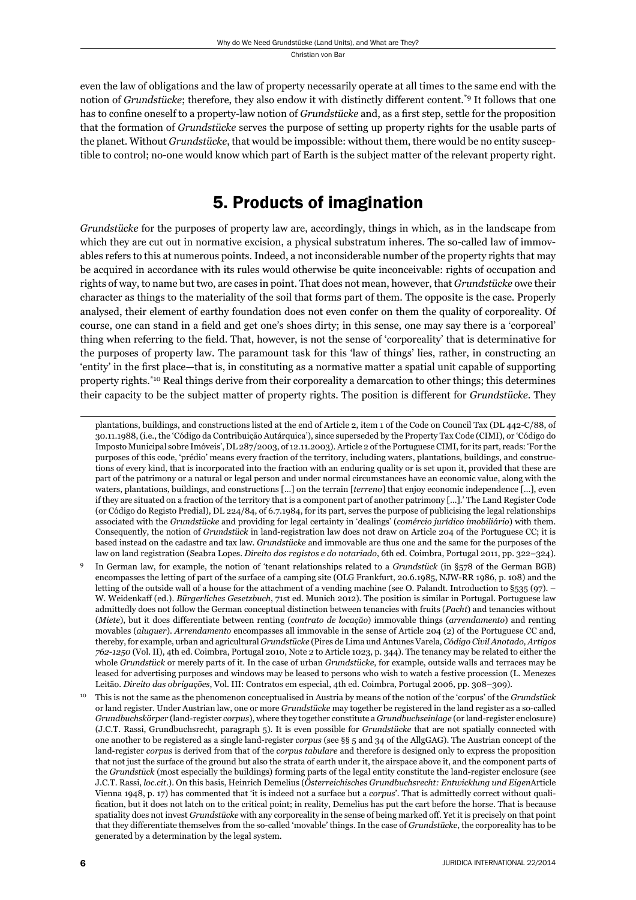even the law of obligations and the law of property necessarily operate at all times to the same end with the notion of *Grundstücke*; therefore, they also endow it with distinctly different content.\*9 It follows that one has to confine oneself to a property-law notion of *Grundstücke* and, as a first step, settle for the proposition that the formation of *Grundstücke* serves the purpose of setting up property rights for the usable parts of the planet. Without *Grundstücke*, that would be impossible: without them, there would be no entity susceptible to control; no-one would know which part of Earth is the subject matter of the relevant property right.

### 5. Products of imagination

*Grundstücke* for the purposes of property law are, accordingly, things in which, as in the landscape from which they are cut out in normative excision, a physical substratum inheres. The so-called law of immovables refers to this at numerous points. Indeed, a not inconsiderable number of the property rights that may be acquired in accordance with its rules would otherwise be quite inconceivable: rights of occupation and rights of way, to name but two, are cases in point. That does not mean, however, that *Grundstücke* owe their character as things to the materiality of the soil that forms part of them. The opposite is the case. Properly analysed, their element of earthy foundation does not even confer on them the quality of corporeality. Of course, one can stand in a field and get one's shoes dirty; in this sense, one may say there is a 'corporeal' thing when referring to the field. That, however, is not the sense of 'corporeality' that is determinative for the purposes of property law. The paramount task for this 'law of things' lies, rather, in constructing an 'entity' in the first place—that is, in constituting as a normative matter a spatial unit capable of supporting property rights.\*10 Real things derive from their corporeality a demarcation to other things; this determines their capacity to be the subject matter of property rights. The position is different for *Grundstücke*. They

plantations, buildings, and constructions listed at the end of Article 2, item 1 of the Code on Council Tax (DL 442-C/88, of 30.11.1988, (i.e., the 'Código da Contribuição Autárquica'), since superseded by the Property Tax Code (CIMI), or 'Código do Imposto Municipal sobre Imóveis', DL 287/2003, of 12.11.2003). Article 2 of the Portuguese CIMI, for its part, reads: 'For the purposes of this code, 'prédio' means every fraction of the territory, including waters, plantations, buildings, and constructions of every kind, that is incorporated into the fraction with an enduring quality or is set upon it, provided that these are part of the patrimony or a natural or legal person and under normal circumstances have an economic value, along with the waters, plantations, buildings, and constructions […] on the terrain [*terreno*] that enjoy economic independence […], even if they are situated on a fraction of the territory that is a component part of another patrimony […].' The Land Register Code (or Código do Registo Predial), DL 224/84, of 6.7.1984, for its part, serves the purpose of publicising the legal relationships associated with the *Grundstücke* and providing for legal certainty in 'dealings' (*comércio jurídico imobiliário*) with them. Consequently, the notion of *Grundstück* in land-registration law does not draw on Article 204 of the Portuguese CC; it is based instead on the cadastre and tax law. *Grundstücke* and immovable are thus one and the same for the purposes of the law on land registration (Seabra Lopes. *Direito dos registos e do notariado*, 6th ed. Coimbra, Portugal 2011, pp. 322–324).

<sup>9</sup> In German law, for example, the notion of 'tenant relationships related to a *Grundstück* (in §578 of the German BGB) encompasses the letting of part of the surface of a camping site (OLG Frankfurt, 20.6.1985, NJW-RR 1986, p. 108) and the letting of the outside wall of a house for the attachment of a vending machine (see O. Palandt. Introduction to §535 (97). – W. Weidenkaff (ed.). *Bürgerliches Gesetzbuch*, 71st ed. Munich 2012). The position is similar in Portugal. Portuguese law admittedly does not follow the German conceptual distinction between tenancies with fruits (*Pacht*) and tenancies without (*Miete*), but it does differentiate between renting (*contrato de locação*) immovable things (*arrendamento*) and renting movables (*aluguer*). *Arrendamento* encompasses all immovable in the sense of Article 204 (2) of the Portuguese CC and, thereby, for example, urban and agricultural *Grundstücke* (Pires de Lima und Antunes Varela, *Código Civil Anotado, Artigos 762-1250* (Vol. II), 4th ed. Coimbra, Portugal 2010, Note 2 to Article 1023, p. 344). The tenancy may be related to either the whole *Grundstück* or merely parts of it. In the case of urban *Grundstücke*, for example, outside walls and terraces may be leased for advertising purposes and windows may be leased to persons who wish to watch a festive procession (L. Menezes Leitão. *Direito das obrigações*, Vol. III: Contratos em especial, 4th ed. Coimbra, Portugal 2006, pp. 308–309).

<sup>10</sup> This is not the same as the phenomenon conceptualised in Austria by means of the notion of the 'corpus' of the *Grundstück*  or land register. Under Austrian law, one or more *Grundstücke* may together be registered in the land register as a so-called *Grundbuchskörper* (land-register *corpus*), where they together constitute a *Grundbuchseinlage* (or land-register enclosure) (J.C.T. Rassi, Grundbuchsrecht, paragraph 5). It is even possible for *Grundstücke* that are not spatially connected with one another to be registered as a single land-register *corpus* (see §§ 5 and 34 of the AllgGAG). The Austrian concept of the land-register *corpus* is derived from that of the *corpus tabulare* and therefore is designed only to express the proposition that not just the surface of the ground but also the strata of earth under it, the airspace above it, and the component parts of the *Grundstück* (most especially the buildings) forming parts of the legal entity constitute the land-register enclosure (see J.C.T. Rassi, *loc.cit*.). On this basis, Heinrich Demelius (*Österreichisches Grundbuchsrecht: Entwicklung und Eigen*Article Vienna 1948, p. 17) has commented that 'it is indeed not a surface but a *corpus*'. That is admittedly correct without qualification, but it does not latch on to the critical point; in reality, Demelius has put the cart before the horse. That is because spatiality does not invest *Grundstücke* with any corporeality in the sense of being marked off. Yet it is precisely on that point that they differentiate themselves from the so-called 'movable' things. In the case of *Grundstücke*, the corporeality has to be generated by a determination by the legal system.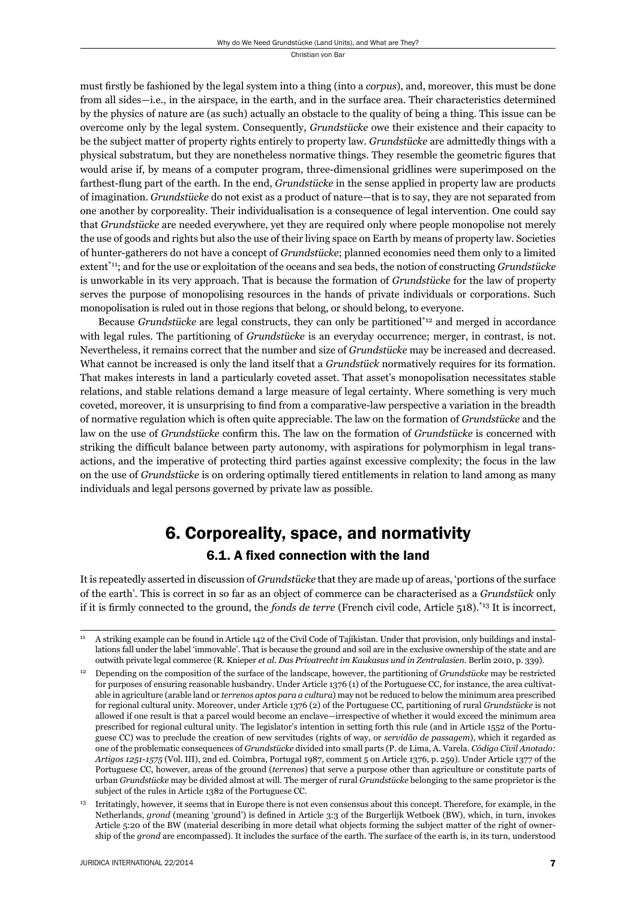must fi rstly be fashioned by the legal system into a thing (into a *corpus*), and, moreover, this must be done from all sides—i.e., in the airspace, in the earth, and in the surface area. Their characteristics determined by the physics of nature are (as such) actually an obstacle to the quality of being a thing. This issue can be overcome only by the legal system. Consequently, *Grundstücke* owe their existence and their capacity to be the subject matter of property rights entirely to property law. *Grundstücke* are admittedly things with a physical substratum, but they are nonetheless normative things. They resemble the geometric figures that would arise if, by means of a computer program, three-dimensional gridlines were superimposed on the farthest-flung part of the earth. In the end, *Grundstücke* in the sense applied in property law are products of imagination. *Grundstücke* do not exist as a product of nature—that is to say, they are not separated from one another by corporeality. Their individualisation is a consequence of legal intervention. One could say that *Grundstücke* are needed everywhere, yet they are required only where people monopolise not merely the use of goods and rights but also the use of their living space on Earth by means of property law. Societies of hunter-gatherers do not have a concept of *Grundstücke*; planned economies need them only to a limited extent\*11; and for the use or exploitation of the oceans and sea beds, the notion of constructing *Grundstücke* is unworkable in its very approach. That is because the formation of *Grundstücke* for the law of property serves the purpose of monopolising resources in the hands of private individuals or corporations. Such monopolisation is ruled out in those regions that belong, or should belong, to everyone.

Because *Grundstücke* are legal constructs, they can only be partitioned\*12 and merged in accordance with legal rules. The partitioning of *Grundstücke* is an everyday occurrence; merger, in contrast, is not. Nevertheless, it remains correct that the number and size of *Grundstücke* may be increased and decreased. What cannot be increased is only the land itself that a *Grundstück* normatively requires for its formation. That makes interests in land a particularly coveted asset. That asset's monopolisation necessitates stable relations, and stable relations demand a large measure of legal certainty. Where something is very much coveted, moreover, it is unsurprising to find from a comparative-law perspective a variation in the breadth of normative regulation which is often quite appreciable. The law on the formation of *Grundstücke* and the law on the use of *Grundstücke* confirm this. The law on the formation of *Grundstücke* is concerned with striking the difficult balance between party autonomy, with aspirations for polymorphism in legal transactions, and the imperative of protecting third parties against excessive complexity; the focus in the law on the use of *Grundstücke* is on ordering optimally tiered entitlements in relation to land among as many individuals and legal persons governed by private law as possible.

### 6. Corporeality, space, and normativity 6.1. A fixed connection with the land

It is repeatedly asserted in discussion of *Grundstücke* that they are made up of areas, 'portions of the surface of the earth'. This is correct in so far as an object of commerce can be characterised as a *Grundstück* only if it is firmly connected to the ground, the *fonds de terre* (French civil code, Article 518).<sup>\*13</sup> It is incorrect,

<sup>11</sup> A striking example can be found in Article 142 of the Civil Code of Tajikistan. Under that provision, only buildings and installations fall under the label 'immovable'. That is because the ground and soil are in the exclusive ownership of the state and are outwith private legal commerce (R. Knieper *et al*. *Das Privatrecht im Kaukasus und in Zentralasien.* Berlin 2010, p. 339).

<sup>12</sup> Depending on the composition of the surface of the landscape, however, the partitioning of *Grundstücke* may be restricted for purposes of ensuring reasonable husbandry. Under Article 1376 (1) of the Portuguese CC, for instance, the area cultivatable in agriculture (arable land or *terrenos aptos para a cultura*) may not be reduced to below the minimum area prescribed for regional cultural unity. Moreover, under Article 1376 (2) of the Portuguese CC, partitioning of rural *Grundstücke* is not allowed if one result is that a parcel would become an enclave—irrespective of whether it would exceed the minimum area prescribed for regional cultural unity. The legislator's intention in setting forth this rule (and in Article 1552 of the Portuguese CC) was to preclude the creation of new servitudes (rights of way, or *servidão de passagem*), which it regarded as one of the problematic consequences of *Grundstücke* divided into small parts (P. de Lima, A. Varela. *Código Civil Anotado: Artigos 1251-1575* (Vol. III), 2nd ed. Coimbra, Portugal 1987, comment 5 on Article 1376, p. 259). Under Article 1377 of the Portuguese CC, however, areas of the ground (*terrenos*) that serve a purpose other than agriculture or constitute parts of urban *Grundstücke* may be divided almost at will. The merger of rural *Grundstücke* belonging to the same proprietor is the subject of the rules in Article 1382 of the Portuguese CC.

<sup>13</sup> Irritatingly, however, it seems that in Europe there is not even consensus about this concept. Therefore, for example, in the Netherlands, *grond* (meaning 'ground') is defined in Article 3:3 of the Burgerlijk Wetboek (BW), which, in turn, invokes Article 5:20 of the BW (material describing in more detail what objects forming the subject matter of the right of ownership of the *grond* are encompassed). It includes the surface of the earth. The surface of the earth is, in its turn, understood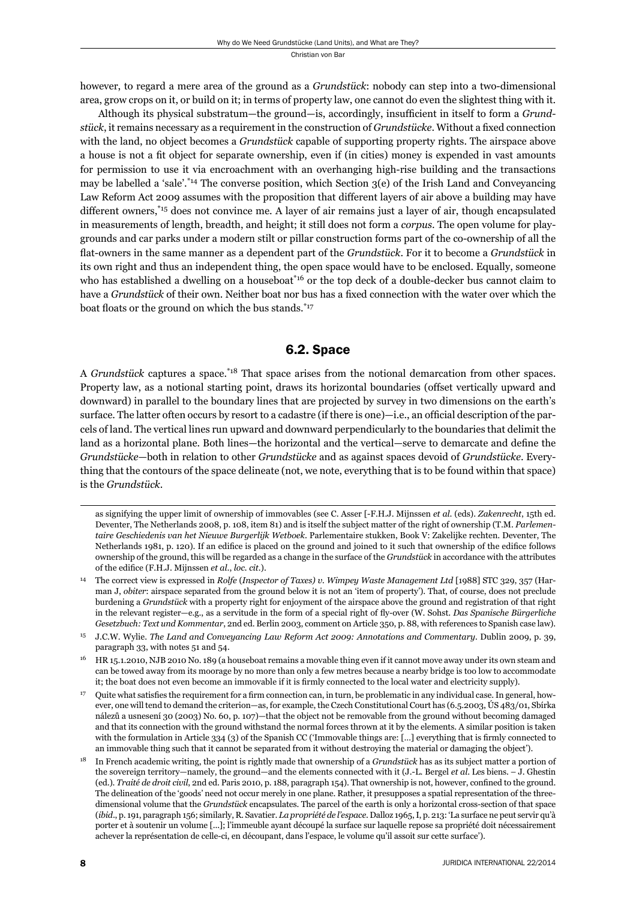however, to regard a mere area of the ground as a *Grundstück*: nobody can step into a two-dimensional area, grow crops on it, or build on it; in terms of property law, one cannot do even the slightest thing with it.

Although its physical substratum—the ground—is, accordingly, insufficient in itself to form a *Grundstück*, it remains necessary as a requirement in the construction of *Grundstücke*. Without a fixed connection with the land, no object becomes a *Grundstück* capable of supporting property rights. The airspace above a house is not a fit object for separate ownership, even if (in cities) money is expended in vast amounts for permission to use it via encroachment with an overhanging high-rise building and the transactions may be labelled a 'sale'.\*14 The converse position, which Section 3(e) of the Irish Land and Conveyancing Law Reform Act 2009 assumes with the proposition that different layers of air above a building may have different owners,\*15 does not convince me. A layer of air remains just a layer of air, though encapsulated in measurements of length, breadth, and height; it still does not form a *corpus*. The open volume for playgrounds and car parks under a modern stilt or pillar construction forms part of the co-ownership of all the fl at-owners in the same manner as a dependent part of the *Grundstück*. For it to become a *Grundstück* in its own right and thus an independent thing, the open space would have to be enclosed. Equally, someone who has established a dwelling on a houseboat<sup>\*16</sup> or the top deck of a double-decker bus cannot claim to have a *Grundstück* of their own. Neither boat nor bus has a fixed connection with the water over which the boat floats or the ground on which the bus stands.<sup>\*17</sup>

#### 6.2. Space

A *Grundstück* captures a space.\*18 That space arises from the notional demarcation from other spaces. Property law, as a notional starting point, draws its horizontal boundaries (offset vertically upward and downward) in parallel to the boundary lines that are projected by survey in two dimensions on the earth's surface. The latter often occurs by resort to a cadastre (if there is one)—i.e., an official description of the parcels of land. The vertical lines run upward and downward perpendicularly to the boundaries that delimit the land as a horizontal plane. Both lines—the horizontal and the vertical—serve to demarcate and define the *Grundstücke*—both in relation to other *Grundstücke* and as against spaces devoid of *Grundstücke*. Everything that the contours of the space delineate (not, we note, everything that is to be found within that space) is the *Grundstück*.

as signifying the upper limit of ownership of immovables (see C. Asser [-F.H.J. Mijnssen *et al*. (eds). *Zakenrecht*, 15th ed. Deventer, The Netherlands 2008, p. 108, item 81) and is itself the subject matter of the right of ownership (T.M. *Parlementaire Geschiedenis van het Nieuwe Burgerlijk Wetboek*. Parlementaire stukken, Book V: Zakelijke rechten. Deventer, The Netherlands 1981, p. 120). If an edifice is placed on the ground and joined to it such that ownership of the edifice follows ownership of the ground, this will be regarded as a change in the surface of the *Grundstück* in accordance with the attributes of the edifice (F.H.J. Mijnssen et al., *loc. cit.*).

<sup>14</sup> The correct view is expressed in *Rolfe* (*Inspector of Taxes) v. Wimpey Waste Management Ltd* [1988] STC 329, 357 (Harman J, *obiter*: airspace separated from the ground below it is not an 'item of property'). That, of course, does not preclude burdening a *Grundstück* with a property right for enjoyment of the airspace above the ground and registration of that right in the relevant register—e.g., as a servitude in the form of a special right of fly-over (W. Sohst. *Das Spanische Bürgerliche Gesetzbuch: Text und Kommentar*, 2nd ed. Berlin 2003, comment on Article 350, p. 88, with references to Spanish case law).

<sup>15</sup> J.C.W. Wylie. *The Land and Conveyancing Law Reform Act 2009: Annotations and Commentary.* Dublin 2009, p. 39, paragraph 33, with notes 51 and 54.

<sup>16</sup> HR 15.1.2010, NJB 2010 No. 189 (a houseboat remains a movable thing even if it cannot move away under its own steam and can be towed away from its moorage by no more than only a few metres because a nearby bridge is too low to accommodate it; the boat does not even become an immovable if it is firmly connected to the local water and electricity supply).

Quite what satisfies the requirement for a firm connection can, in turn, be problematic in any individual case. In general, however, one will tend to demand the criterion—as, for example, the Czech Constitutional Court has (6.5.2003, ÚS 483/01, Sbírka nálezů a usnesení 30 (2003) No. 60, p. 107)—that the object not be removable from the ground without becoming damaged and that its connection with the ground withstand the normal forces thrown at it by the elements. A similar position is taken with the formulation in Article 334 (3) of the Spanish CC ('Immovable things are: [...] everything that is firmly connected to an immovable thing such that it cannot be separated from it without destroying the material or damaging the object').

<sup>18</sup> In French academic writing, the point is rightly made that ownership of a *Grundstück* has as its subject matter a portion of the sovereign territory—namely, the ground—and the elements connected with it (J.-L. Bergel *et al*. Les biens. – J. Ghestin (ed.). *Traité de droit civil*, 2nd ed. Paris 2010, p. 188, paragraph 154). That ownership is not, however, confined to the ground. The delineation of the 'goods' need not occur merely in one plane. Rather, it presupposes a spatial representation of the threedimensional volume that the *Grundstück* encapsulates. The parcel of the earth is only a horizontal cross-section of that space (*ibid*., p. 191, paragraph 156; similarly, R. Savatier. *La propriété de l'espace*. Dalloz 1965, I, p. 213: 'La surface ne peut servir qu'à porter et à soutenir un volume [...]; l'immeuble ayant découpé la surface sur laquelle repose sa propriété doit nécessairement achever la représentation de celle-ci, en découpant, dans l'espace, le volume qu'il assoit sur cette surface').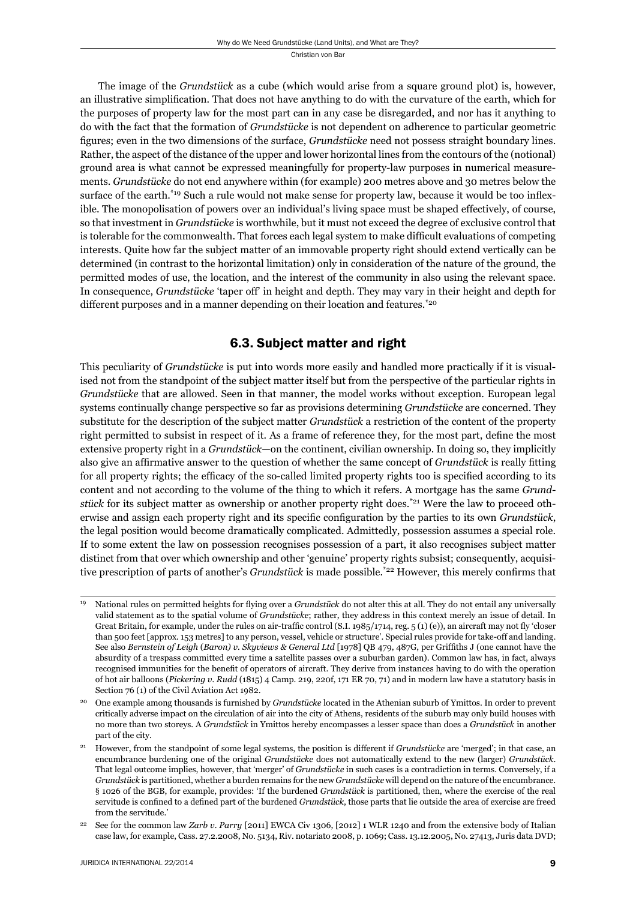The image of the *Grundstück* as a cube (which would arise from a square ground plot) is, however, an illustrative simplification. That does not have anything to do with the curvature of the earth, which for the purposes of property law for the most part can in any case be disregarded, and nor has it anything to do with the fact that the formation of *Grundstücke* is not dependent on adherence to particular geometric figures; even in the two dimensions of the surface, *Grundstücke* need not possess straight boundary lines. Rather, the aspect of the distance of the upper and lower horizontal lines from the contours of the (notional) ground area is what cannot be expressed meaningfully for property-law purposes in numerical measurements. *Grundstücke* do not end anywhere within (for example) 200 metres above and 30 metres below the surface of the earth.<sup>\*19</sup> Such a rule would not make sense for property law, because it would be too inflexible. The monopolisation of powers over an individual's living space must be shaped effectively, of course, so that investment in *Grundstücke* is worthwhile, but it must not exceed the degree of exclusive control that is tolerable for the commonwealth. That forces each legal system to make difficult evaluations of competing interests. Quite how far the subject matter of an immovable property right should extend vertically can be determined (in contrast to the horizontal limitation) only in consideration of the nature of the ground, the permitted modes of use, the location, and the interest of the community in also using the relevant space. In consequence, *Grundstücke* 'taper off' in height and depth. They may vary in their height and depth for different purposes and in a manner depending on their location and features.\*20

### 6.3. Subject matter and right

This peculiarity of *Grundstücke* is put into words more easily and handled more practically if it is visualised not from the standpoint of the subject matter itself but from the perspective of the particular rights in *Grundstücke* that are allowed. Seen in that manner, the model works without exception. European legal systems continually change perspective so far as provisions determining *Grundstücke* are concerned. They substitute for the description of the subject matter *Grundstück* a restriction of the content of the property right permitted to subsist in respect of it. As a frame of reference they, for the most part, define the most extensive property right in a *Grundstück*—on the continent, civilian ownership. In doing so, they implicitly also give an affirmative answer to the question of whether the same concept of *Grundstück* is really fitting for all property rights; the efficacy of the so-called limited property rights too is specified according to its content and not according to the volume of the thing to which it refers. A mortgage has the same *Grundstück* for its subject matter as ownership or another property right does.<sup>\*21</sup> Were the law to proceed otherwise and assign each property right and its specific configuration by the parties to its own *Grundstück*, the legal position would become dramatically complicated. Admittedly, possession assumes a special role. If to some extent the law on possession recognises possession of a part, it also recognises subject matter distinct from that over which ownership and other 'genuine' property rights subsist; consequently, acquisitive prescription of parts of another's *Grundstück* is made possible.<sup>\*22</sup> However, this merely confirms that

<sup>&</sup>lt;sup>19</sup> National rules on permitted heights for flying over a *Grundstück* do not alter this at all. They do not entail any universally valid statement as to the spatial volume of *Grundstücke*; rather, they address in this context merely an issue of detail. In Great Britain, for example, under the rules on air-traffic control (S.I. 1985/1714, reg. 5 (1) (e)), an aircraft may not fly 'closer than 500 feet [approx. 153 metres] to any person, vessel, vehicle or structure'. Special rules provide for take-off and landing. See also *Bernstein of Leigh* (*Baron) v. Skyviews & General Ltd* [1978] QB 479, 487G, per Griffiths J (one cannot have the absurdity of a trespass committed every time a satellite passes over a suburban garden). Common law has, in fact, always recognised immunities for the benefit of operators of aircraft. They derive from instances having to do with the operation of hot air balloons (*Pickering v. Rudd* (1815) 4 Camp. 219, 220f, 171 ER 70, 71) and in modern law have a statutory basis in Section 76 (1) of the Civil Aviation Act 1982.

<sup>20</sup> One example among thousands is furnished by *Grundstücke* located in the Athenian suburb of Ymittos. In order to prevent critically adverse impact on the circulation of air into the city of Athens, residents of the suburb may only build houses with no more than two storeys. A *Grundstück* in Ymittos hereby encompasses a lesser space than does a *Grundstück* in another part of the city.

<sup>21</sup> However, from the standpoint of some legal systems, the position is different if *Grundstücke* are 'merged'; in that case, an encumbrance burdening one of the original *Grundstücke* does not automatically extend to the new (larger) *Grundstück*. That legal outcome implies, however, that 'merger' of *Grundstücke* in such cases is a contradiction in terms. Conversely, if a *Grundstück* is partitioned, whether a burden remains for the new *Grundstücke* will depend on the nature of the encumbrance. § 1026 of the BGB, for example, provides: 'If the burdened *Grundstück* is partitioned, then, where the exercise of the real servitude is confined to a defined part of the burdened *Grundstück*, those parts that lie outside the area of exercise are freed from the servitude.'

<sup>22</sup> See for the common law *Zarb v. Parry* [2011] EWCA Civ 1306, [2012] 1 WLR 1240 and from the extensive body of Italian case law, for example, Cass. 27.2.2008, No. 5134, Riv. notariato 2008, p. 1069; Cass. 13.12.2005, No. 27413, Juris data DVD;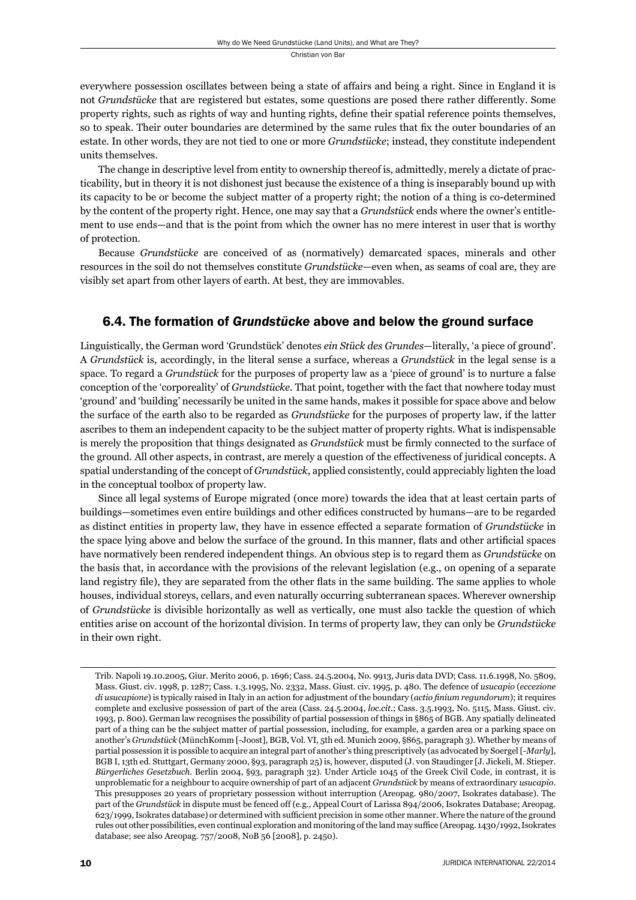everywhere possession oscillates between being a state of affairs and being a right. Since in England it is not *Grundstücke* that are registered but estates, some questions are posed there rather differently. Some property rights, such as rights of way and hunting rights, define their spatial reference points themselves, so to speak. Their outer boundaries are determined by the same rules that fix the outer boundaries of an estate. In other words, they are not tied to one or more *Grundstücke*; instead, they constitute independent units themselves.

The change in descriptive level from entity to ownership thereof is, admittedly, merely a dictate of practicability, but in theory it is not dishonest just because the existence of a thing is inseparably bound up with its capacity to be or become the subject matter of a property right; the notion of a thing is co-determined by the content of the property right. Hence, one may say that a *Grundstück* ends where the owner's entitlement to use ends—and that is the point from which the owner has no mere interest in user that is worthy of protection.

Because *Grundstücke* are conceived of as (normatively) demarcated spaces, minerals and other resources in the soil do not themselves constitute *Grundstücke*—even when, as seams of coal are, they are visibly set apart from other layers of earth. At best, they are immovables.

### 6.4. The formation of *Grundstücke* above and below the ground surface

Linguistically, the German word 'Grundstück' denotes *ein Stück des Grundes*—literally, 'a piece of ground'. A *Grundstück* is, accordingly, in the literal sense a surface, whereas a *Grundstück* in the legal sense is a space. To regard a *Grundstück* for the purposes of property law as a 'piece of ground' is to nurture a false conception of the 'corporeality' of *Grundstücke*. That point, together with the fact that nowhere today must 'ground' and 'building' necessarily be united in the same hands, makes it possible for space above and below the surface of the earth also to be regarded as *Grundstücke* for the purposes of property law, if the latter ascribes to them an independent capacity to be the subject matter of property rights. What is indispensable is merely the proposition that things designated as *Grundstück* must be firmly connected to the surface of the ground. All other aspects, in contrast, are merely a question of the effectiveness of juridical concepts. A spatial understanding of the concept of *Grundstück*, applied consistently, could appreciably lighten the load in the conceptual toolbox of property law.

Since all legal systems of Europe migrated (once more) towards the idea that at least certain parts of buildings—sometimes even entire buildings and other edifices constructed by humans—are to be regarded as distinct entities in property law, they have in essence effected a separate formation of *Grundstücke* in the space lying above and below the surface of the ground. In this manner, flats and other artificial spaces have normatively been rendered independent things. An obvious step is to regard them as *Grundstücke* on the basis that, in accordance with the provisions of the relevant legislation (e.g., on opening of a separate land registry file), they are separated from the other flats in the same building. The same applies to whole houses, individual storeys, cellars, and even naturally occurring subterranean spaces. Wherever ownership of *Grundstücke* is divisible horizontally as well as vertically, one must also tackle the question of which entities arise on account of the horizontal division. In terms of property law, they can only be *Grundstücke* in their own right.

Trib. Napoli 19.10.2005, Giur. Merito 2006, p. 1696; Cass. 24.5.2004, No. 9913, Juris data DVD; Cass. 11.6.1998, No. 5809, Mass. Giust. civ. 1998, p. 1287; Cass. 1.3.1995, No. 2332, Mass. Giust. civ. 1995, p. 480. The defence of *usucapio* (*eccezione di usucapione*) is typically raised in Italy in an action for adjustment of the boundary (*actio finium regundorum*); it requires complete and exclusive possession of part of the area (Cass. 24.5.2004, *loc.cit.*; Cass. 3.5.1993, No. 5115, Mass. Giust. civ. 1993, p. 800). German law recognises the possibility of partial possession of things in §865 of BGB. Any spatially delineated part of a thing can be the subject matter of partial possession, including, for example, a garden area or a parking space on another's *Grundstück* (MünchKomm [-Joost], BGB, Vol. VI, 5th ed. Munich 2009, §865, paragraph 3). Whether by means of partial possession it is possible to acquire an integral part of another's thing prescriptively (as advocated by Soergel [-*Marly*], BGB I, 13th ed. Stuttgart, Germany 2000, §93, paragraph 25) is, however, disputed (J. von Staudinger [J. Jickeli, M. Stieper. *Bürgerliches Gesetzbuch*. Berlin 2004, §93, paragraph 32). Under Article 1045 of the Greek Civil Code, in contrast, it is unproblematic for a neighbour to acquire ownership of part of an adjacent *Grundstück* by means of extraordinary *usucapio*. This presupposes 20 years of proprietary possession without interruption (Areopag. 980/2007, Isokrates database). The part of the *Grundstück* in dispute must be fenced off (e.g., Appeal Court of Larissa 894/2006, Isokrates Database; Areopag. 623/1999, Isokrates database) or determined with sufficient precision in some other manner. Where the nature of the ground rules out other possibilities, even continual exploration and monitoring of the land may suffice (Areopag. 1430/1992, Isokrates database; see also Areopag. 757/2008, NoB 56 [2008], p. 2450).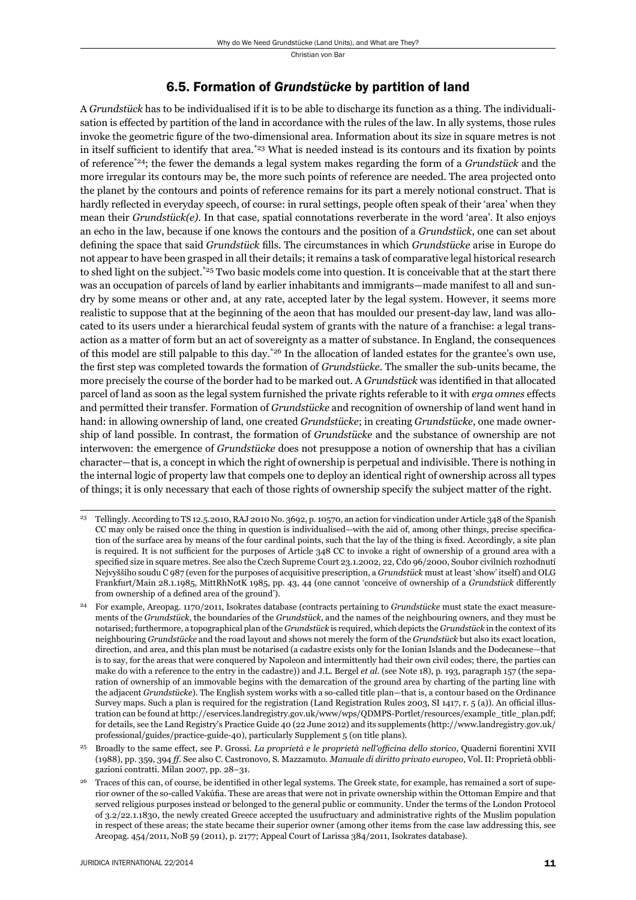#### 6.5. Formation of *Grundstücke* by partition of land

A *Grundstück* has to be individualised if it is to be able to discharge its function as a thing. The individualisation is effected by partition of the land in accordance with the rules of the law. In ally systems, those rules invoke the geometric figure of the two-dimensional area. Information about its size in square metres is not in itself sufficient to identify that area.<sup>\*23</sup> What is needed instead is its contours and its fixation by points of reference\*24; the fewer the demands a legal system makes regarding the form of a *Grundstück* and the more irregular its contours may be, the more such points of reference are needed. The area projected onto the planet by the contours and points of reference remains for its part a merely notional construct. That is hardly reflected in everyday speech, of course: in rural settings, people often speak of their 'area' when they mean their *Grundstück(e)*. In that case, spatial connotations reverberate in the word 'area'. It also enjoys an echo in the law, because if one knows the contours and the position of a *Grundstück*, one can set about defining the space that said *Grundstück* fills. The circumstances in which *Grundstücke* arise in Europe do not appear to have been grasped in all their details; it remains a task of comparative legal historical research to shed light on the subject.<sup>\*25</sup> Two basic models come into question. It is conceivable that at the start there was an occupation of parcels of land by earlier inhabitants and immigrants—made manifest to all and sundry by some means or other and, at any rate, accepted later by the legal system. However, it seems more realistic to suppose that at the beginning of the aeon that has moulded our present-day law, land was allocated to its users under a hierarchical feudal system of grants with the nature of a franchise: a legal transaction as a matter of form but an act of sovereignty as a matter of substance. In England, the consequences of this model are still palpable to this day.\*26 In the allocation of landed estates for the grantee's own use, the first step was completed towards the formation of *Grundstücke*. The smaller the sub-units became, the more precisely the course of the border had to be marked out. A *Grundstück* was identified in that allocated parcel of land as soon as the legal system furnished the private rights referable to it with *erga omnes* effects and permitted their transfer. Formation of *Grundstücke* and recognition of ownership of land went hand in hand: in allowing ownership of land, one created *Grundstücke*; in creating *Grundstücke*, one made ownership of land possible. In contrast, the formation of *Grundstücke* and the substance of ownership are not interwoven: the emergence of *Grundstücke* does not presuppose a notion of ownership that has a civilian character—that is, a concept in which the right of ownership is perpetual and indivisible. There is nothing in the internal logic of property law that compels one to deploy an identical right of ownership across all types of things; it is only necessary that each of those rights of ownership specify the subject matter of the right.

<sup>23</sup> Tellingly. According to TS 12.5.2010, RAJ 2010 No. 3692, p. 10570, an action for vindication under Article 348 of the Spanish CC may only be raised once the thing in question is individualised—with the aid of, among other things, precise specification of the surface area by means of the four cardinal points, such that the lay of the thing is fixed. Accordingly, a site plan is required. It is not sufficient for the purposes of Article 348 CC to invoke a right of ownership of a ground area with a specified size in square metres. See also the Czech Supreme Court 23.1.2002, 22, Cdo 96/2000, Soubor civilních rozhodnutí Nejvyššího soudu C 987 (even for the purposes of acquisitive prescription, a *Grundstück* must at least 'show' itself) and OLG Frankfurt/Main 28.1.1985, MittRhNotK 1985, pp. 43, 44 (one cannot 'conceive of ownership of a *Grundstück* differently from ownership of a defined area of the ground').

<sup>24</sup> For example, Areopag. 1170/2011, Isokrates database (contracts pertaining to *Grundstücke* must state the exact measurements of the *Grundstück*, the boundaries of the *Grundstück*, and the names of the neighbouring owners, and they must be notarised; furthermore, a topographical plan of the *Grundstück* is required, which depicts the *Grundstück* in the context of its neighbouring *Grundstücke* and the road layout and shows not merely the form of the *Grundstück* but also its exact location, direction, and area, and this plan must be notarised (a cadastre exists only for the Ionian Islands and the Dodecanese—that is to say, for the areas that were conquered by Napoleon and intermittently had their own civil codes; there, the parties can make do with a reference to the entry in the cadastre)) and J.L. Bergel *et al*. (see Note 18), p. 193, paragraph 157 (the separation of ownership of an immovable begins with the demarcation of the ground area by charting of the parting line with the adjacent *Grundstücke*). The English system works with a so-called title plan—that is, a contour based on the Ordinance Survey maps. Such a plan is required for the registration (Land Registration Rules 2003, SI 1417, r.  $5$  (a)). An official illustration can be found at http://eservices.landregistry.gov.uk/www/wps/QDMPS-Portlet/resources/example\_title\_plan.pdf; for details, see the Land Registry's Practice Guide 40 (22 June 2012) and its supplements (http://www.landregistry.gov.uk/ professional/guides/practice-guide-40), particularly Supplement 5 (on title plans).

<sup>&</sup>lt;sup>25</sup> Broadly to the same effect, see P. Grossi. *La proprietà e le proprietà nell'officina dello storico*, Quaderni fiorentini XVII (1988), pp. 359, 394 *ff*. See also C. Castronovo, S. Mazzamuto. *Manuale di diritto privato europeo*, Vol. II: Proprietà obbligazioni contratti. Milan 2007, pp. 28–31.

Traces of this can, of course, be identified in other legal systems. The Greek state, for example, has remained a sort of superior owner of the so-called Vakúfia. These are areas that were not in private ownership within the Ottoman Empire and that served religious purposes instead or belonged to the general public or community. Under the terms of the London Protocol of 3.2/22.1.1830, the newly created Greece accepted the usufructuary and administrative rights of the Muslim population in respect of these areas; the state became their superior owner (among other items from the case law addressing this, see Areopag. 454/2011, NoB 59 (2011), p. 2177; Appeal Court of Larissa 384/2011, Isokrates database).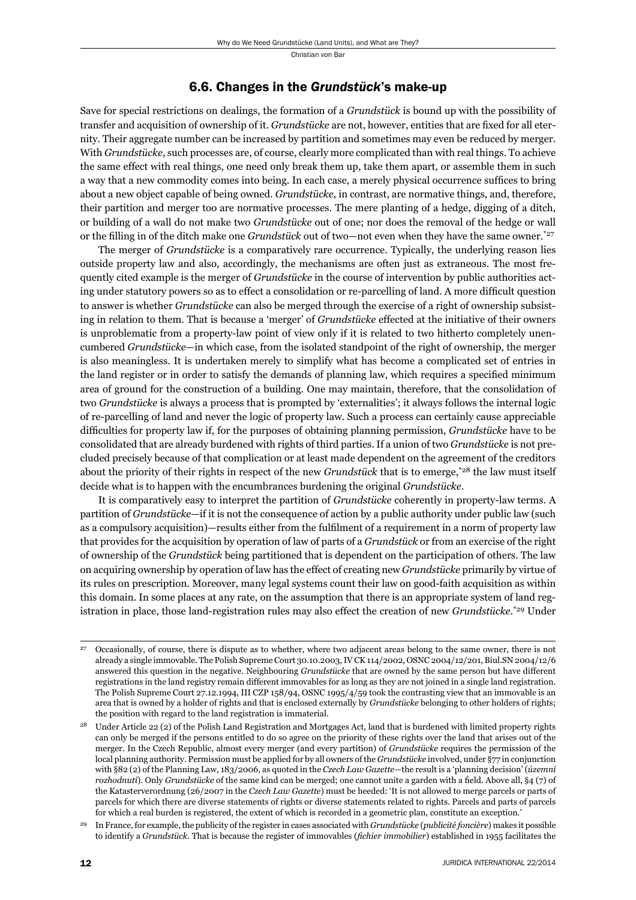#### 6.6. Changes in the *Grundstück*'s make-up

Save for special restrictions on dealings, the formation of a *Grundstück* is bound up with the possibility of transfer and acquisition of ownership of it. *Grundstücke* are not, however, entities that are fixed for all eternity. Their aggregate number can be increased by partition and sometimes may even be reduced by merger. With *Grundstücke*, such processes are, of course, clearly more complicated than with real things. To achieve the same effect with real things, one need only break them up, take them apart, or assemble them in such a way that a new commodity comes into being. In each case, a merely physical occurrence suffices to bring about a new object capable of being owned. *Grundstücke*, in contrast, are normative things, and, therefore, their partition and merger too are normative processes. The mere planting of a hedge, digging of a ditch, or building of a wall do not make two *Grundstücke* out of one; nor does the removal of the hedge or wall or the fi lling in of the ditch make one *Grundstück* out of two—not even when they have the same owner.\*27

The merger of *Grundstücke* is a comparatively rare occurrence. Typically, the underlying reason lies outside property law and also, accordingly, the mechanisms are often just as extraneous. The most frequently cited example is the merger of *Grundstücke* in the course of intervention by public authorities acting under statutory powers so as to effect a consolidation or re-parcelling of land. A more difficult question to answer is whether *Grundstücke* can also be merged through the exercise of a right of ownership subsisting in relation to them. That is because a 'merger' of *Grundstücke* effected at the initiative of their owners is unproblematic from a property-law point of view only if it is related to two hitherto completely unencumbered *Grundstücke*—in which case, from the isolated standpoint of the right of ownership, the merger is also meaningless. It is undertaken merely to simplify what has become a complicated set of entries in the land register or in order to satisfy the demands of planning law, which requires a specified minimum area of ground for the construction of a building. One may maintain, therefore, that the consolidation of two *Grundstücke* is always a process that is prompted by 'externalities'; it always follows the internal logic of re-parcelling of land and never the logic of property law. Such a process can certainly cause appreciable difficulties for property law if, for the purposes of obtaining planning permission, *Grundstücke* have to be consolidated that are already burdened with rights of third parties. If a union of two *Grundstücke* is not precluded precisely because of that complication or at least made dependent on the agreement of the creditors about the priority of their rights in respect of the new *Grundstück* that is to emerge,\*28 the law must itself decide what is to happen with the encumbrances burdening the original *Grundstücke*.

It is comparatively easy to interpret the partition of *Grundstücke* coherently in property-law terms. A partition of *Grundstücke*—if it is not the consequence of action by a public authority under public law (such as a compulsory acquisition)—results either from the fulfilment of a requirement in a norm of property law that provides for the acquisition by operation of law of parts of a *Grundstück* or from an exercise of the right of ownership of the *Grundstück* being partitioned that is dependent on the participation of others. The law on acquiring ownership by operation of law has the effect of creating new *Grundstücke* primarily by virtue of its rules on prescription. Moreover, many legal systems count their law on good-faith acquisition as within this domain. In some places at any rate, on the assumption that there is an appropriate system of land registration in place, those land-registration rules may also effect the creation of new *Grundstücke*. \*29 Under

<sup>27</sup> Occasionally, of course, there is dispute as to whether, where two adjacent areas belong to the same owner, there is not already a single immovable. The Polish Supreme Court 30.10.2003, IV CK 114/2002, OSNC 2004/12/201, Biul.SN 2004/12/6 answered this question in the negative. Neighbouring *Grundstücke* that are owned by the same person but have different registrations in the land registry remain different immovables for as long as they are not joined in a single land registration. The Polish Supreme Court 27.12.1994, III CZP 158/94, OSNC 1995/4/59 took the contrasting view that an immovable is an area that is owned by a holder of rights and that is enclosed externally by *Grundstücke* belonging to other holders of rights; the position with regard to the land registration is immaterial.

<sup>28</sup> Under Article 22 (2) of the Polish Land Registration and Mortgages Act, land that is burdened with limited property rights can only be merged if the persons entitled to do so agree on the priority of these rights over the land that arises out of the merger. In the Czech Republic, almost every merger (and every partition) of *Grundstücke* requires the permission of the local planning authority. Permission must be applied for by all owners of the *Grundstücke* involved, under §77 in conjunction with §82 (2) of the Planning Law, 183/2006, as quoted in the *Czech Law Gazette*—the result is a 'planning decision' (*územní rozhodnutí*). Only *Grundstücke* of the same kind can be merged; one cannot unite a garden with a field. Above all, §4 (7) of the Katasterverordnung (26/2007 in the *Czech Law Gazette*) must be heeded: 'It is not allowed to merge parcels or parts of parcels for which there are diverse statements of rights or diverse statements related to rights. Parcels and parts of parcels for which a real burden is registered, the extent of which is recorded in a geometric plan, constitute an exception.'

<sup>29</sup> In France, for example, the publicity of the register in cases associated with *Grundstücke* (*publicité foncière*) makes it possible to identify a *Grundstück*. That is because the register of immovables (*fichier immobilier*) established in 1955 facilitates the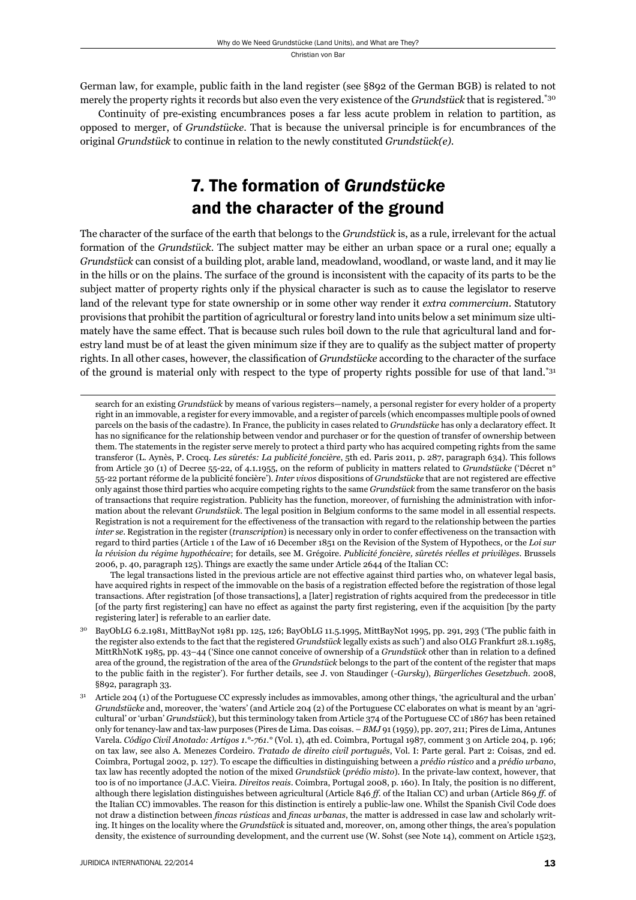German law, for example, public faith in the land register (see §892 of the German BGB) is related to not merely the property rights it records but also even the very existence of the *Grundstück* that is registered.\*30

Continuity of pre-existing encumbrances poses a far less acute problem in relation to partition, as opposed to merger, of *Grundstücke*. That is because the universal principle is for encumbrances of the original *Grundstück* to continue in relation to the newly constituted *Grundstück(e)*.

## 7. The formation of *Grundstücke* and the character of the ground

The character of the surface of the earth that belongs to the *Grundstück* is, as a rule, irrelevant for the actual formation of the *Grundstück*. The subject matter may be either an urban space or a rural one; equally a *Grundstück* can consist of a building plot, arable land, meadowland, woodland, or waste land, and it may lie in the hills or on the plains. The surface of the ground is inconsistent with the capacity of its parts to be the subject matter of property rights only if the physical character is such as to cause the legislator to reserve land of the relevant type for state ownership or in some other way render it *extra commercium*. Statutory provisions that prohibit the partition of agricultural or forestry land into units below a set minimum size ultimately have the same effect. That is because such rules boil down to the rule that agricultural land and forestry land must be of at least the given minimum size if they are to qualify as the subject matter of property rights. In all other cases, however, the classification of *Grundstücke* according to the character of the surface of the ground is material only with respect to the type of property rights possible for use of that land.\*31

search for an existing *Grundstück* by means of various registers—namely, a personal register for every holder of a property right in an immovable, a register for every immovable, and a register of parcels (which encompasses multiple pools of owned parcels on the basis of the cadastre). In France, the publicity in cases related to *Grundstücke* has only a declaratory effect. It has no significance for the relationship between vendor and purchaser or for the question of transfer of ownership between them. The statements in the register serve merely to protect a third party who has acquired competing rights from the same transferor (L. Aynès, P. Crocq. *Les sûretés: La publicité foncière*, 5th ed. Paris 2011, p. 287, paragraph 634). This follows from Article 30 (1) of Decree 55-22, of 4.1.1955, on the reform of publicity in matters related to *Grundstücke* ('Décret n° 55-22 portant réforme de la publicité foncière'). *Inter vivos* dispositions of *Grundstücke* that are not registered are effective only against those third parties who acquire competing rights to the same *Grundstück* from the same transferor on the basis of transactions that require registration. Publicity has the function, moreover, of furnishing the administration with information about the relevant *Grundstück*. The legal position in Belgium conforms to the same model in all essential respects. Registration is not a requirement for the effectiveness of the transaction with regard to the relationship between the parties *inter se*. Registration in the register (*transcription*) is necessary only in order to confer effectiveness on the transaction with regard to third parties (Article 1 of the Law of 16 December 1851 on the Revision of the System of Hypothecs, or the *Loi sur la révision du régime hypothécaire*; for details, see M. Grégoire. *Publicité foncière, sûretés réelles et privilèges*. Brussels 2006, p. 40, paragraph 125). Things are exactly the same under Article 2644 of the Italian CC:

The legal transactions listed in the previous article are not effective against third parties who, on whatever legal basis, have acquired rights in respect of the immovable on the basis of a registration effected before the registration of those legal transactions. After registration [of those transactions], a [later] registration of rights acquired from the predecessor in title [of the party first registering] can have no effect as against the party first registering, even if the acquisition [by the party registering later] is referable to an earlier date.

<sup>30</sup> BayObLG 6.2.1981, MittBayNot 1981 pp. 125, 126; BayObLG 11.5.1995, MittBayNot 1995, pp. 291, 293 ('The public faith in the register also extends to the fact that the registered *Grundstück* legally exists as such') and also OLG Frankfurt 28.1.1985, MittRhNotK 1985, pp. 43–44 ('Since one cannot conceive of ownership of a *Grundstück* other than in relation to a defined area of the ground, the registration of the area of the *Grundstück* belongs to the part of the content of the register that maps to the public faith in the register'). For further details, see J. von Staudinger (-*Gursky*), *Bürgerliches Gesetzbuch*. 2008, §892, paragraph 33.

<sup>31</sup> Article 204 (1) of the Portuguese CC expressly includes as immovables, among other things, 'the agricultural and the urban' *Grundstücke* and, moreover, the 'waters' (and Article 204 (2) of the Portuguese CC elaborates on what is meant by an 'agricultural' or 'urban' *Grundstück*), but this terminology taken from Article 374 of the Portuguese CC of 1867 has been retained only for tenancy-law and tax-law purposes (Pires de Lima. Das coisas. – *BMJ* 91 (1959), pp. 207, 211; Pires de Lima, Antunes Varela. *Código Civil Anotado: Artigos 1.°-761.°* (Vol. 1), 4th ed. Coimbra, Portugal 1987, comment 3 on Article 204, p. 196; on tax law, see also A. Menezes Cordeiro. *Tratado de direito civil português*, Vol. I: Parte geral. Part 2: Coisas, 2nd ed. Coimbra, Portugal 2002, p. 127). To escape the difficulties in distinguishing between a *prédio rústico* and a *prédio urbano*, tax law has recently adopted the notion of the mixed *Grundstück* (*prédio misto*). In the private-law context, however, that too is of no importance (J.A.C. Vieira. *Direitos reais*. Coimbra, Portugal 2008, p. 160). In Italy, the position is no different, although there legislation distinguishes between agricultural (Article 846 *ff.* of the Italian CC) and urban (Article 869 *ff.* of the Italian CC) immovables. The reason for this distinction is entirely a public-law one. Whilst the Spanish Civil Code does not draw a distinction between *fincas rústicas* and *fincas urbanas*, the matter is addressed in case law and scholarly writing. It hinges on the locality where the *Grundstück* is situated and, moreover, on, among other things, the area's population density, the existence of surrounding development, and the current use (W. Sohst (see Note 14), comment on Article 1523,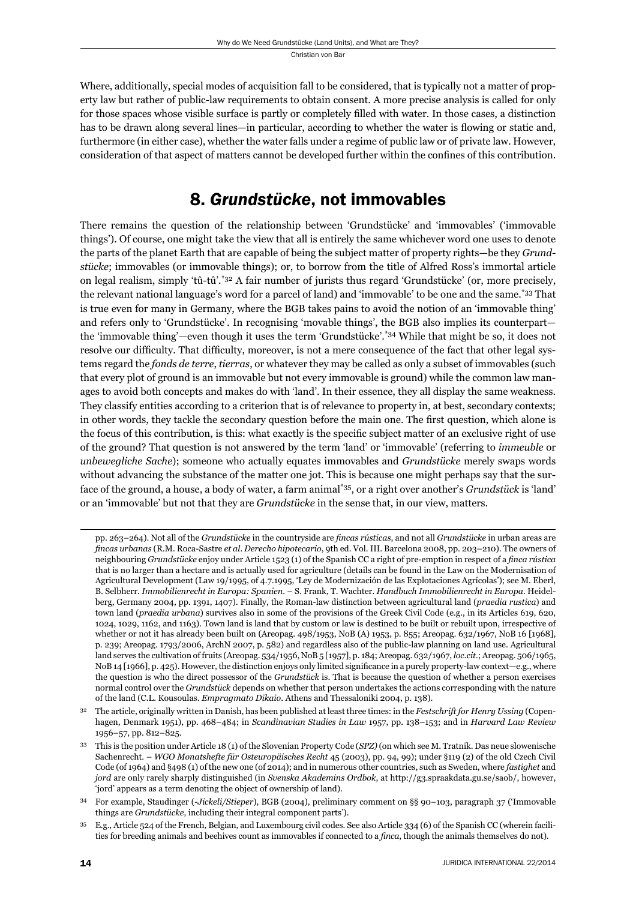Where, additionally, special modes of acquisition fall to be considered, that is typically not a matter of property law but rather of public-law requirements to obtain consent. A more precise analysis is called for only for those spaces whose visible surface is partly or completely filled with water. In those cases, a distinction has to be drawn along several lines—in particular, according to whether the water is flowing or static and, furthermore (in either case), whether the water falls under a regime of public law or of private law. However, consideration of that aspect of matters cannot be developed further within the confines of this contribution.

### 8. *Grundstücke*, not immovables

There remains the question of the relationship between 'Grundstücke' and 'immovables' ('immovable things'). Of course, one might take the view that all is entirely the same whichever word one uses to denote the parts of the planet Earth that are capable of being the subject matter of property rights—be they *Grundstücke*; immovables (or immovable things); or, to borrow from the title of Alfred Ross's immortal article on legal realism, simply 'tû-tû'.\*32 A fair number of jurists thus regard 'Grundstücke' (or, more precisely, the relevant national language's word for a parcel of land) and 'immovable' to be one and the same.\*33 That is true even for many in Germany, where the BGB takes pains to avoid the notion of an 'immovable thing' and refers only to 'Grundstücke'. In recognising 'movable things', the BGB also implies its counterpart the 'immovable thing'—even though it uses the term 'Grundstücke'.\*34 While that might be so, it does not resolve our difficulty. That difficulty, moreover, is not a mere consequence of the fact that other legal systems regard the *fonds de terre*, *tierras*, or whatever they may be called as only a subset of immovables (such that every plot of ground is an immovable but not every immovable is ground) while the common law manages to avoid both concepts and makes do with 'land'. In their essence, they all display the same weakness. They classify entities according to a criterion that is of relevance to property in, at best, secondary contexts; in other words, they tackle the secondary question before the main one. The first question, which alone is the focus of this contribution, is this: what exactly is the specific subject matter of an exclusive right of use of the ground? That question is not answered by the term 'land' or 'immovable' (referring to *immeuble* or *unbewegliche Sache*); someone who actually equates immovables and *Grundstücke* merely swaps words without advancing the substance of the matter one jot. This is because one might perhaps say that the surface of the ground, a house, a body of water, a farm animal\*35, or a right over another's *Grundstück* is 'land' or an 'immovable' but not that they are *Grundstücke* in the sense that, in our view, matters.

pp. 263–264). Not all of the *Grundstücke* in the countryside are *fi ncas rústicas*, and not all *Grundstücke* in urban areas are *fi ncas urbanas* (R.M. Roca-Sastre *et al*. *Derecho hipotecario*, 9th ed. Vol. III. Barcelona 2008, pp. 203–210). The owners of neighbouring *Grundstücke* enjoy under Article 1523 (1) of the Spanish CC a right of pre-emption in respect of a *fi nca rústica* that is no larger than a hectare and is actually used for agriculture (details can be found in the Law on the Modernisation of Agricultural Development (Law 19/1995, of 4.7.1995, 'Ley de Modernización de las Explotaciones Agrícolas'); see M. Eberl, B. Selbherr. *Immobilienrecht in Europa: Spanien*. – S. Frank, T. Wachter. *Handbuch Immobilienrecht in Europa*. Heidelberg, Germany 2004, pp. 1391, 1407). Finally, the Roman-law distinction between agricultural land (*praedia rustica*) and town land (*praedia urbana*) survives also in some of the provisions of the Greek Civil Code (e.g., in its Articles 619, 620, 1024, 1029, 1162, and 1163). Town land is land that by custom or law is destined to be built or rebuilt upon, irrespective of whether or not it has already been built on (Areopag. 498/1953, NoB (A) 1953, p. 855; Areopag. 632/1967, NoB 16 [1968], p. 239; Areopag. 1793/2006, ArchN 2007, p. 582) and regardless also of the public-law planning on land use. Agricultural land serves the cultivation of fruits (Areopag. 534/1956, NoB 5 [1957], p. 184; Areopag. 632/1967, *loc.cit.*; Areopag. 506/1965, NoB 14 [1966], p. 425). However, the distinction enjoys only limited significance in a purely property-law context—e.g., where the question is who the direct possessor of the *Grundstück* is. That is because the question of whether a person exercises normal control over the *Grundstück* depends on whether that person undertakes the actions corresponding with the nature of the land (C.L. Kousoulas. *Empragmato Dikaio*. Athens and Thessaloniki 2004, p. 138).

<sup>32</sup> The article, originally written in Danish, has been published at least three times: in the *Festschrift for Henry Ussing* (Copenhagen, Denmark 1951), pp. 468–484; in *Scandinavian Studies in Law* 1957, pp. 138–153; and in *Harvard Law Review* 1956–57, pp. 812–825.

<sup>33</sup> This is the position under Article 18 (1) of the Slovenian Property Code (*SPZ)* (on which see M. Tratnik. Das neue slowenische Sachenrecht. – *WGO Monatshefte für Osteuropäisches Recht* 45 (2003), pp. 94, 99); under §119 (2) of the old Czech Civil Code (of 1964) and §498 (1) of the new one (of 2014); and in numerous other countries, such as Sweden, where *fastighet* and *jord* are only rarely sharply distinguished (in *Svenska Akademins Ordbok*, at http://g3.spraakdata.gu.se/saob/, however, 'jord' appears as a term denoting the object of ownership of land).

<sup>34</sup> For example, Staudinger (-*Jickeli/Stieper*), BGB (2004), preliminary comment on §§ 90–103, paragraph 37 ('Immovable things are *Grundstücke*, including their integral component parts').

<sup>35</sup> E.g., Article 524 of the French, Belgian, and Luxembourg civil codes. See also Article 334 (6) of the Spanish CC (wherein facilities for breeding animals and beehives count as immovables if connected to a *fi nca*, though the animals themselves do not).